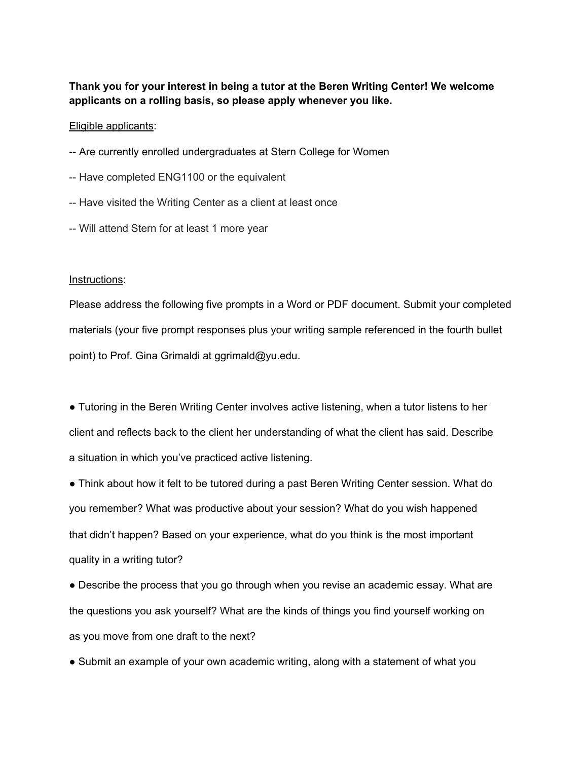# **Thank you for your interest in being a tutor at the Beren Writing Center! We welcome applicants on a rolling basis, so please apply whenever you like.**

## Eligible applicants:

- -- Are currently enrolled undergraduates at Stern College for Women
- -- Have completed ENG1100 or the equivalent
- -- Have visited the Writing Center as a client at least once
- -- Will attend Stern for at least 1 more year

## Instructions:

Please address the following five prompts in a Word or PDF document. Submit your completed materials (your five prompt responses plus your writing sample referenced in the fourth bullet point) to Prof. Gina Grimaldi at ggrimald@yu.edu.

● Tutoring in the Beren Writing Center involves active listening, when a tutor listens to her client and reflects back to the client her understanding of what the client has said. Describe a situation in which you've practiced active listening.

● Think about how it felt to be tutored during a past Beren Writing Center session. What do you remember? What was productive about your session? What do you wish happened that didn't happen? Based on your experience, what do you think is the most important quality in a writing tutor?

• Describe the process that you go through when you revise an academic essay. What are the questions you ask yourself? What are the kinds of things you find yourself working on as you move from one draft to the next?

■ Submit an example of your own academic writing, along with a statement of what you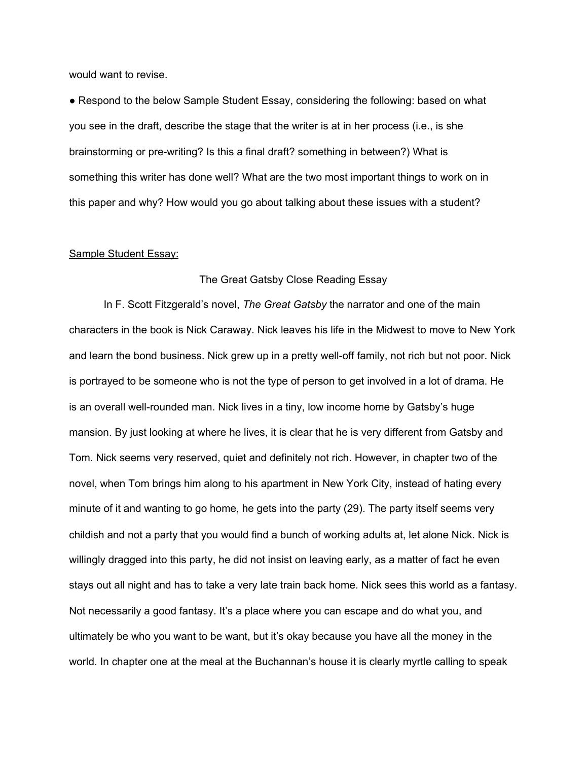would want to revise.

● Respond to the below Sample Student Essay, considering the following: based on what you see in the draft, describe the stage that the writer is at in her process (i.e., is she brainstorming or pre-writing? Is this a final draft? something in between?) What is something this writer has done well? What are the two most important things to work on in this paper and why? How would you go about talking about these issues with a student?

#### Sample Student Essay:

#### The Great Gatsby Close Reading Essay

In F. Scott Fitzgerald's novel, *The Great Gatsby* the narrator and one of the main characters in the book is Nick Caraway. Nick leaves his life in the Midwest to move to New York and learn the bond business. Nick grew up in a pretty well-off family, not rich but not poor. Nick is portrayed to be someone who is not the type of person to get involved in a lot of drama. He is an overall well-rounded man. Nick lives in a tiny, low income home by Gatsby's huge mansion. By just looking at where he lives, it is clear that he is very different from Gatsby and Tom. Nick seems very reserved, quiet and definitely not rich. However, in chapter two of the novel, when Tom brings him along to his apartment in New York City, instead of hating every minute of it and wanting to go home, he gets into the party (29). The party itself seems very childish and not a party that you would find a bunch of working adults at, let alone Nick. Nick is willingly dragged into this party, he did not insist on leaving early, as a matter of fact he even stays out all night and has to take a very late train back home. Nick sees this world as a fantasy. Not necessarily a good fantasy. It's a place where you can escape and do what you, and ultimately be who you want to be want, but it's okay because you have all the money in the world. In chapter one at the meal at the Buchannan's house it is clearly myrtle calling to speak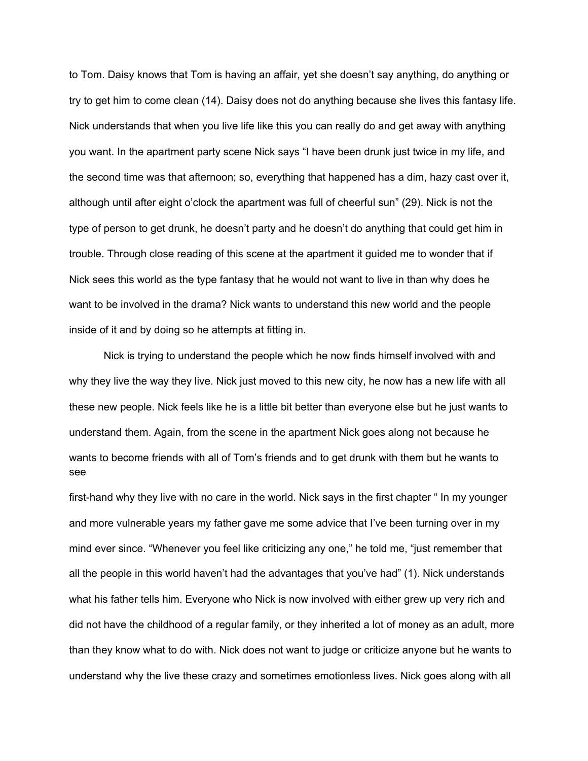to Tom. Daisy knows that Tom is having an affair, yet she doesn't say anything, do anything or try to get him to come clean (14). Daisy does not do anything because she lives this fantasy life. Nick understands that when you live life like this you can really do and get away with anything you want. In the apartment party scene Nick says "I have been drunk just twice in my life, and the second time was that afternoon; so, everything that happened has a dim, hazy cast over it, although until after eight o'clock the apartment was full of cheerful sun" (29). Nick is not the type of person to get drunk, he doesn't party and he doesn't do anything that could get him in trouble. Through close reading of this scene at the apartment it guided me to wonder that if Nick sees this world as the type fantasy that he would not want to live in than why does he want to be involved in the drama? Nick wants to understand this new world and the people inside of it and by doing so he attempts at fitting in.

Nick is trying to understand the people which he now finds himself involved with and why they live the way they live. Nick just moved to this new city, he now has a new life with all these new people. Nick feels like he is a little bit better than everyone else but he just wants to understand them. Again, from the scene in the apartment Nick goes along not because he wants to become friends with all of Tom's friends and to get drunk with them but he wants to see

first-hand why they live with no care in the world. Nick says in the first chapter " In my younger and more vulnerable years my father gave me some advice that I've been turning over in my mind ever since. "Whenever you feel like criticizing any one," he told me, "just remember that all the people in this world haven't had the advantages that you've had" (1). Nick understands what his father tells him. Everyone who Nick is now involved with either grew up very rich and did not have the childhood of a regular family, or they inherited a lot of money as an adult, more than they know what to do with. Nick does not want to judge or criticize anyone but he wants to understand why the live these crazy and sometimes emotionless lives. Nick goes along with all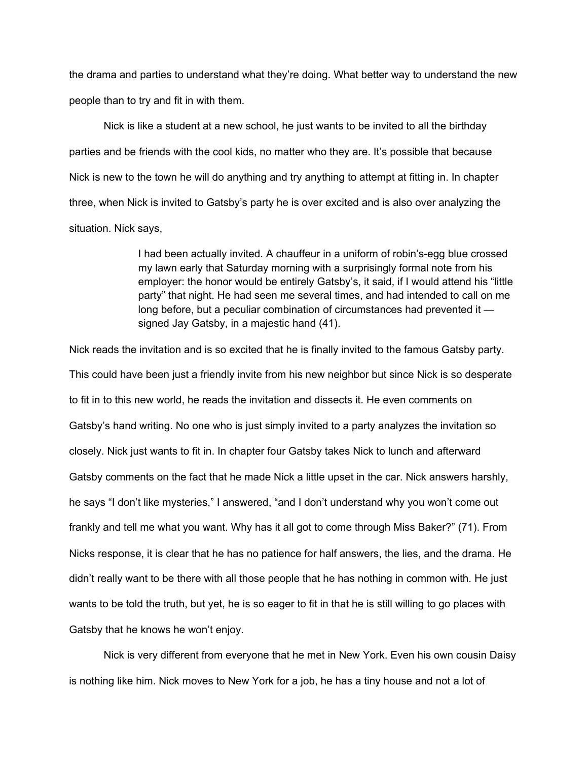the drama and parties to understand what they're doing. What better way to understand the new people than to try and fit in with them.

Nick is like a student at a new school, he just wants to be invited to all the birthday parties and be friends with the cool kids, no matter who they are. It's possible that because Nick is new to the town he will do anything and try anything to attempt at fitting in. In chapter three, when Nick is invited to Gatsby's party he is over excited and is also over analyzing the situation. Nick says,

> I had been actually invited. A chauffeur in a uniform of robin's-egg blue crossed my lawn early that Saturday morning with a surprisingly formal note from his employer: the honor would be entirely Gatsby's, it said, if I would attend his "little party" that night. He had seen me several times, and had intended to call on me long before, but a peculiar combination of circumstances had prevented it signed Jay Gatsby, in a majestic hand (41).

Nick reads the invitation and is so excited that he is finally invited to the famous Gatsby party. This could have been just a friendly invite from his new neighbor but since Nick is so desperate to fit in to this new world, he reads the invitation and dissects it. He even comments on Gatsby's hand writing. No one who is just simply invited to a party analyzes the invitation so closely. Nick just wants to fit in. In chapter four Gatsby takes Nick to lunch and afterward Gatsby comments on the fact that he made Nick a little upset in the car. Nick answers harshly, he says "I don't like mysteries," I answered, "and I don't understand why you won't come out frankly and tell me what you want. Why has it all got to come through Miss Baker?" (71). From Nicks response, it is clear that he has no patience for half answers, the lies, and the drama. He didn't really want to be there with all those people that he has nothing in common with. He just wants to be told the truth, but yet, he is so eager to fit in that he is still willing to go places with Gatsby that he knows he won't enjoy.

Nick is very different from everyone that he met in New York. Even his own cousin Daisy is nothing like him. Nick moves to New York for a job, he has a tiny house and not a lot of